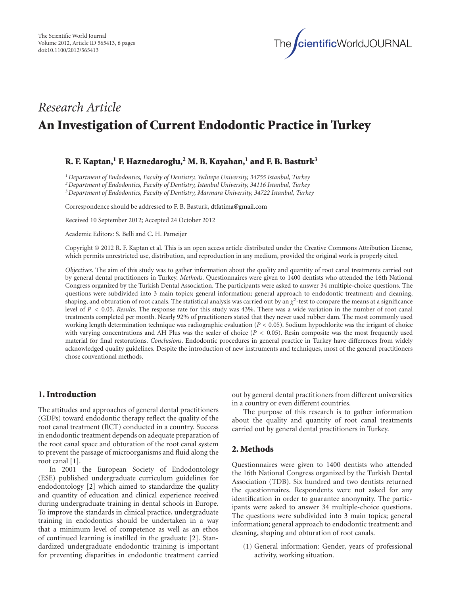

# *Research Article* **An Investigation of Current Endodontic Practice in Turkey**

# **R. F. Kaptan,1 F. Haznedaroglu,2 M. B. Kayahan,1 and F. B. Basturk3**

*1Department of Endodontics, Faculty of Dentistry, Yeditepe University, 34755 Istanbul, Turkey*

*2Department of Endodontics, Faculty of Dentistry, Istanbul University, 34116 Istanbul, Turkey*

*3Department of Endodontics, Faculty of Dentistry, Marmara University, 34722 Istanbul, Turkey*

Correspondence should be addressed to F. B. Basturk, dtfatima@gmail.com

Received 10 September 2012; Accepted 24 October 2012

Academic Editors: S. Belli and C. H. Pameijer

Copyright © 2012 R. F. Kaptan et al. This is an open access article distributed under the Creative Commons Attribution License, which permits unrestricted use, distribution, and reproduction in any medium, provided the original work is properly cited.

*Objectives*. The aim of this study was to gather information about the quality and quantity of root canal treatments carried out by general dental practitioners in Turkey. *Methods*. Questionnaires were given to 1400 dentists who attended the 16th National Congress organized by the Turkish Dental Association. The participants were asked to answer 34 multiple-choice questions. The questions were subdivided into 3 main topics; general information; general approach to endodontic treatment; and cleaning, shaping, and obturation of root canals. The statistical analysis was carried out by an  $\chi^2$ -test to compare the means at a significance level of *P <* 0*.*05. *Results*. The response rate for this study was 43%. There was a wide variation in the number of root canal treatments completed per month. Nearly 92% of practitioners stated that they never used rubber dam. The most commonly used working length determination technique was radiographic evaluation (*P <* 0*.*05). Sodium hypochlorite was the irrigant of choice with varying concentrations and AH Plus was the sealer of choice (*P <* 0*.*05). Resin composite was the most frequently used material for final restorations. *Conclusions*. Endodontic procedures in general practice in Turkey have differences from widely acknowledged quality guidelines. Despite the introduction of new instruments and techniques, most of the general practitioners chose conventional methods.

## **1. Introduction**

The attitudes and approaches of general dental practitioners (GDPs) toward endodontic therapy reflect the quality of the root canal treatment (RCT) conducted in a country. Success in endodontic treatment depends on adequate preparation of the root canal space and obturation of the root canal system to prevent the passage of microorganisms and fluid along the root canal [1].

In 2001 the European Society of Endodontology (ESE) published undergraduate curriculum guidelines for endodontology [2] which aimed to standardize the quality and quantity of education and clinical experience received during undergraduate training in dental schools in Europe. To improve the standards in clinical practice, undergraduate training in endodontics should be undertaken in a way that a minimum level of competence as well as an ethos of continued learning is instilled in the graduate [2]. Standardized undergraduate endodontic training is important for preventing disparities in endodontic treatment carried out by general dental practitioners from different universities in a country or even different countries.

The purpose of this research is to gather information about the quality and quantity of root canal treatments carried out by general dental practitioners in Turkey.

## **2. Methods**

Questionnaires were given to 1400 dentists who attended the 16th National Congress organized by the Turkish Dental Association (TDB). Six hundred and two dentists returned the questionnaires. Respondents were not asked for any identification in order to guarantee anonymity. The participants were asked to answer 34 multiple-choice questions. The questions were subdivided into 3 main topics; general information; general approach to endodontic treatment; and cleaning, shaping and obturation of root canals.

(1) General information: Gender, years of professional activity, working situation.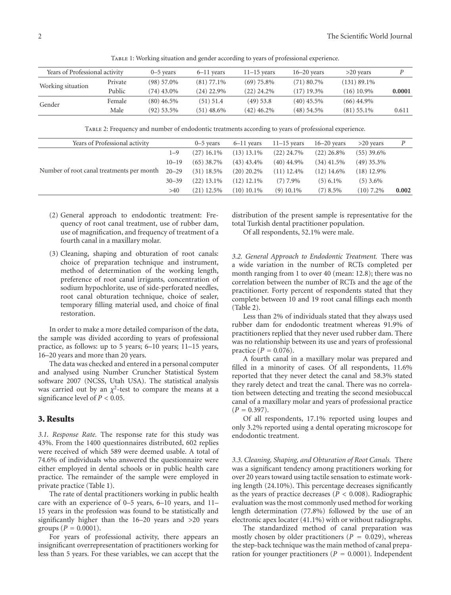Table 1: Working situation and gender according to years of professional experience.

| Years of Professional activity |         | $0-5$ years  | $6-11$ years | $11-15$ years | $16 - 20$ years | $>20$ years    |        |
|--------------------------------|---------|--------------|--------------|---------------|-----------------|----------------|--------|
| Working situation              | Private | $(98)$ 57.0% | $(81)$ 77.1% | $(69)$ 75.8%  | $(71)$ 80.7%    | $(131) 89.1\%$ |        |
|                                | Public  | (74) 43.0%   | $(24)$ 22.9% | $(22)$ 24.2%  | $(17)$ 19.3%    | $(16)$ 10.9%   | 0.0001 |
| Gender                         | Female  | $(80)$ 46.5% | $(51)$ 51.4  | $(49)$ 53.8   | $(40)$ 45.5%    | $(66)$ 44.9%   |        |
|                                | Male    | (92) 53.5%   | $(51)$ 48.6% | (42) 46.2%    | (48) 54.5%      | $(81)$ 55.1%   | 0.611  |
|                                |         |              |              |               |                 |                |        |

Table 2: Frequency and number of endodontic treatments according to years of professional experience.

| Years of Professional activity            | $0-5$ vears | $6-11$ vears | $11-15$ vears | $16 - 20$ vears | $>20$ vears  |              |       |
|-------------------------------------------|-------------|--------------|---------------|-----------------|--------------|--------------|-------|
|                                           | $1 - 9$     | $(27)$ 16.1% | $(13)$ 13.1%  | $(22)$ 24.7%    | $(22)$ 26.8% | $(55)$ 39.6% |       |
|                                           | $10 - 19$   | $(65)$ 38.7% | $(43)$ 43.4%  | $(40)$ 44.9%    | $(34)$ 41.5% | $(49)$ 35.3% |       |
| Number of root canal treatments per month | $20 - 29$   | $(31)$ 18.5% | $(20)$ 20.2%  | $(11)$ 12.4%    | $(12)$ 14.6% | $(18)$ 12.9% |       |
|                                           | $30 - 39$   | $(22)$ 13.1% | $(12)$ 12.1%  | $(7)$ 7.9%      | $(5)$ 6.1%   | $(5)$ 3.6%   |       |
|                                           | >40         | $(21)$ 12.5% | $(10)$ 10.1%  | $(9)$ 10.1%     | $(7)$ 8.5%   | $(10)$ 7.2%  | 0.002 |

- (2) General approach to endodontic treatment: Frequency of root canal treatment, use of rubber dam, use of magnification, and frequency of treatment of a fourth canal in a maxillary molar.
- (3) Cleaning, shaping and obturation of root canals: choice of preparation technique and instrument, method of determination of the working length, preference of root canal irrigants, concentration of sodium hypochlorite, use of side-perforated needles, root canal obturation technique, choice of sealer, temporary filling material used, and choice of final restoration.

In order to make a more detailed comparison of the data, the sample was divided according to years of professional practice, as follows: up to 5 years; 6–10 years; 11–15 years, 16–20 years and more than 20 years.

The data was checked and entered in a personal computer and analysed using Number Cruncher Statistical System software 2007 (NCSS, Utah USA). The statistical analysis was carried out by an  $\chi^2$ -test to compare the means at a significance level of *P <* 0*.*05.

#### **3. Results**

*3.1. Response Rate.* The response rate for this study was 43%. From the 1400 questionnaires distributed, 602 replies were received of which 589 were deemed usable. A total of 74.6% of individuals who answered the questionnaire were either employed in dental schools or in public health care practice. The remainder of the sample were employed in private practice (Table 1).

The rate of dental practitioners working in public health care with an experience of 0–5 years, 6–10 years, and 11– 15 years in the profession was found to be statistically and significantly higher than the 16–20 years and *>*20 years groups  $(P = 0.0001)$ .

For years of professional activity, there appears an insignificant overrepresentation of practitioners working for less than 5 years. For these variables, we can accept that the distribution of the present sample is representative for the total Turkish dental practitioner population.

Of all respondents, 52.1% were male.

*3.2. General Approach to Endodontic Treatment.* There was a wide variation in the number of RCTs completed per month ranging from 1 to over 40 (mean: 12.8); there was no correlation between the number of RCTs and the age of the practitioner. Forty percent of respondents stated that they complete between 10 and 19 root canal fillings each month (Table 2).

Less than 2% of individuals stated that they always used rubber dam for endodontic treatment whereas 91.9% of practitioners replied that they never used rubber dam. There was no relationship between its use and years of professional practice  $(P = 0.076)$ .

A fourth canal in a maxillary molar was prepared and filled in a minority of cases. Of all respondents, 11.6% reported that they never detect the canal and 58.3% stated they rarely detect and treat the canal. There was no correlation between detecting and treating the second mesiobuccal canal of a maxillary molar and years of professional practice  $(P = 0.397)$ .

Of all respondents, 17.1% reported using loupes and only 3.2% reported using a dental operating microscope for endodontic treatment.

*3.3. Cleaning, Shaping, and Obturation of Root Canals.* There was a significant tendency among practitioners working for over 20 years toward using tactile sensation to estimate working length (24.10%). This percentage decreases significantly as the years of practice decreases (*P <* 0*.*008). Radiographic evaluation was the most commonly used method for working length determination (77.8%) followed by the use of an electronic apex locater (41.1%) with or without radiographs.

The standardized method of canal preparation was mostly chosen by older practitioners ( $P = 0.029$ ), whereas the step-back technique was the main method of canal preparation for younger practitioners (*<sup>P</sup> <sup>=</sup>* <sup>0</sup>*.*0001). Independent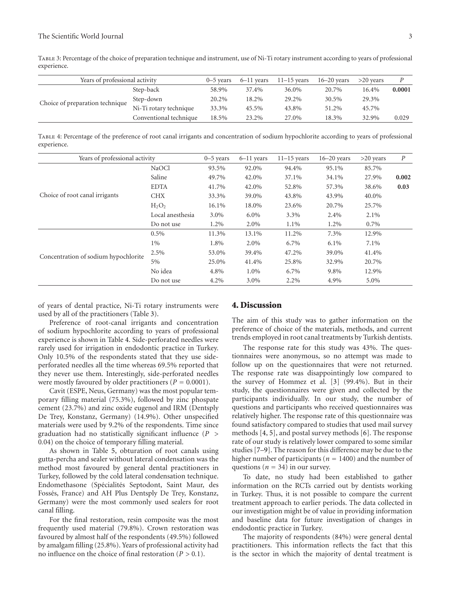experience.

| Years of professional activity  |                        | $0-5$ years | $6-11$ years | $11-15$ years | $16 - 20$ vears | $>20$ vears |        |
|---------------------------------|------------------------|-------------|--------------|---------------|-----------------|-------------|--------|
|                                 | Step-back              | 58.9%       | 37.4%        | 36.0%         | 20.7%           | 16.4%       | 0.0001 |
| Choice of preparation technique | Step-down              | 20.2%       | 18.2%        | 29.2%         | 30.5%           | 29.3%       |        |
|                                 | Ni-Ti rotary technique | 33.3%       | 45.5%        | 43.8%         | 51.2%           | 45.7%       |        |
|                                 | Conventional technique | 18.5%       | 23.2%        | 27.0%         | 18.3%           | 32.9%       | 0.029  |

Table 4: Percentage of the preference of root canal irrigants and concentration of sodium hypochlorite according to years of professional experience.

| Years of professional activity       |                  | $0-5$ years | $6 - 11$ years | $11-15$ years | $16-20$ years | >20 years | $\boldsymbol{P}$ |
|--------------------------------------|------------------|-------------|----------------|---------------|---------------|-----------|------------------|
|                                      | NaOCl            | 93.5%       | 92.0%          | 94.4%         | 95.1%         | 85.7%     |                  |
|                                      | Saline           | 49.7%       | 42.0%          | 37.1%         | 34.1%         | 27.9%     | 0.002            |
|                                      | <b>EDTA</b>      | 41.7%       | 42.0%          | 52.8%         | 57.3%         | 38.6%     | 0.03             |
| Choice of root canal irrigants       | <b>CHX</b>       | 33.3%       | 39.0%          | 43.8%         | 43.9%         | 40.0%     |                  |
|                                      | $H_2O_2$         | 16.1%       | 18.0%          | 23.6%         | 20.7%         | 25.7%     |                  |
|                                      | Local anesthesia | 3.0%        | $6.0\%$        | 3.3%          | 2.4%          | 2.1%      |                  |
|                                      | Do not use       | 1.2%        | 2.0%           | 1.1%          | 1.2%          | 0.7%      |                  |
|                                      | $0.5\%$          | 11.3%       | 13.1%          | 11.2%         | 7.3%          | 12.9%     |                  |
|                                      | $1\%$            | 1.8%        | 2.0%           | 6.7%          | $6.1\%$       | 7.1%      |                  |
| Concentration of sodium hypochlorite | 2.5%             | 53.0%       | 39.4%          | 47.2%         | 39.0%         | 41.4%     |                  |
|                                      | 5%               | 25.0%       | 41.4%          | 25.8%         | 32.9%         | 20.7%     |                  |
|                                      | No idea          | 4.8%        | 1.0%           | 6.7%          | 9.8%          | 12.9%     |                  |
|                                      | Do not use       | 4.2%        | 3.0%           | 2.2%          | 4.9%          | 5.0%      |                  |

of years of dental practice, Ni-Ti rotary instruments were used by all of the practitioners (Table 3).

Preference of root-canal irrigants and concentration of sodium hypochlorite according to years of professional experience is shown in Table 4. Side-perforated needles were rarely used for irrigation in endodontic practice in Turkey. Only 10.5% of the respondents stated that they use sideperforated needles all the time whereas 69.5% reported that they never use them. Interestingly, side-perforated needles were mostly favoured by older practitioners ( $P = 0.0001$ ).

Cavit (ESPE, Neus, Germany) was the most popular temporary filling material (75.3%), followed by zinc phospate cement (23.7%) and zinc oxide eugenol and IRM (Dentsply De Trey, Konstanz, Germany) (14.9%). Other unspecified materials were used by 9.2% of the respondents. Time since graduation had no statistically significant influence (*P >* 0*.*04) on the choice of temporary filling material.

As shown in Table 5, obturation of root canals using gutta-percha and sealer without lateral condensation was the method most favoured by general dental practitioners in Turkey, followed by the cold lateral condensation technique. Endomethasone (Spécialités Septodont, Saint Maur, des Fossés, France) and AH Plus Dentsply De Trey, Konstanz, Germany) were the most commonly used sealers for root canal filling.

For the final restoration, resin composite was the most frequently used material (79.8%). Crown restoration was favoured by almost half of the respondents (49.5%) followed by amalgam filling (25.8%). Years of professional activity had no influence on the choice of final restoration (*P >* 0*.*1).

#### **4. Discussion**

The aim of this study was to gather information on the preference of choice of the materials, methods, and current trends employed in root canal treatments by Turkish dentists.

The response rate for this study was 43%. The questionnaires were anonymous, so no attempt was made to follow up on the questionnaires that were not returned. The response rate was disappointingly low compared to the survey of Hommez et al. [3] (99.4%). But in their study, the questionnaires were given and collected by the participants individually. In our study, the number of questions and participants who received questionnaires was relatively higher. The response rate of this questionnaire was found satisfactory compared to studies that used mail survey methods [4, 5], and postal survey methods [6]. The response rate of our study is relatively lower compared to some similar studies [7–9]. The reason for this difference may be due to the higher number of participants (*<sup>n</sup> <sup>=</sup>* 1400) and the number of questions ( $n = 34$ ) in our survey.

To date, no study had been established to gather information on the RCTs carried out by dentists working in Turkey. Thus, it is not possible to compare the current treatment approach to earlier periods. The data collected in our investigation might be of value in providing information and baseline data for future investigation of changes in endodontic practice in Turkey.

The majority of respondents (84%) were general dental practitioners. This information reflects the fact that this is the sector in which the majority of dental treatment is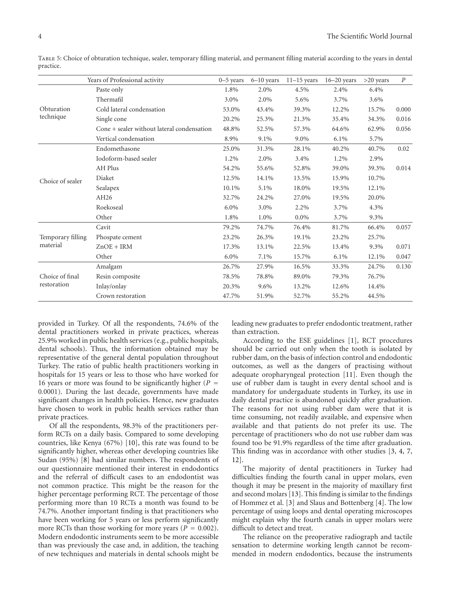| Years of Professional activity |                                            | $0-5$ years | $6-10$ years | $11-15$ years | $16 - 20$ years | >20 years | $\boldsymbol{P}$ |
|--------------------------------|--------------------------------------------|-------------|--------------|---------------|-----------------|-----------|------------------|
| Paste only                     |                                            | 1.8%        | 2.0%         | 4.5%          | 2.4%            | 6.4%      |                  |
|                                | Thermafil                                  | 3.0%        | 2.0%         | 5.6%          | 3.7%            | 3.6%      |                  |
| Obturation                     | Cold lateral condensation                  | 53.0%       | 43.4%        | 39.3%         | 12.2%           | 15.7%     | 0.000            |
| technique                      | Single cone                                | 20.2%       | 25.3%        | 21.3%         | 35.4%           | 34.3%     | 0.016            |
|                                | Cone + sealer without lateral condensation | 48.8%       | 52.5%        | 57.3%         | 64.6%           | 62.9%     | 0.056            |
|                                | Vertical condensation                      | 8.9%        | 9.1%         | 9.0%          | 6.1%            | 5.7%      |                  |
| Choice of sealer               | Endomethasone                              | 25.0%       | 31.3%        | 28.1%         | 40.2%           | 40.7%     | 0.02             |
|                                | Iodoform-based sealer                      | 1.2%        | 2.0%         | 3.4%          | 1.2%            | 2.9%      |                  |
|                                | AH Plus                                    | 54.2%       | 55.6%        | 52.8%         | 39.0%           | 39.3%     | 0.014            |
|                                | Diaket                                     | 12.5%       | 14.1%        | 13.5%         | 15.9%           | 10.7%     |                  |
|                                | Sealapex                                   | 10.1%       | 5.1%         | 18.0%         | 19.5%           | 12.1%     |                  |
|                                | AH26                                       | 32.7%       | 24.2%        | 27.0%         | 19.5%           | 20.0%     |                  |
|                                | Roekoseal                                  | 6.0%        | 3.0%         | 2.2%          | 3.7%            | 4.3%      |                  |
|                                | Other                                      | 1.8%        | 1.0%         | $0.0\%$       | 3.7%            | 9.3%      |                  |
|                                | Cavit                                      | 79.2%       | 74.7%        | 76.4%         | 81.7%           | 66.4%     | 0.057            |
| Temporary filling              | Phospate cement                            | 23.2%       | 26.3%        | 19.1%         | 23.2%           | 25.7%     |                  |
| material                       | $ZnOE + IRM$                               | 17.3%       | 13.1%        | 22.5%         | 13.4%           | 9.3%      | 0.071            |
|                                | Other                                      | 6.0%        | 7.1%         | 15.7%         | 6.1%            | 12.1%     | 0.047            |
| Choice of final<br>restoration | Amalgam                                    | 26.7%       | 27.9%        | 16.5%         | 33.3%           | 24.7%     | 0.130            |
|                                | Resin composite                            | 78.5%       | 78.8%        | 89.0%         | 79.3%           | 76.7%     |                  |
|                                | Inlay/onlay                                | 20.3%       | 9.6%         | 13.2%         | 12.6%           | 14.4%     |                  |
|                                | Crown restoration                          | 47.7%       | 51.9%        | 52.7%         | 55.2%           | 44.5%     |                  |

Table 5: Choice of obturation technique, sealer, temporary filling material, and permanent filling material according to the years in dental practice.

provided in Turkey. Of all the respondents, 74.6% of the dental practitioners worked in private practices, whereas 25.9% worked in public health services (e.g., public hospitals, dental schools). Thus, the information obtained may be representative of the general dental population throughout Turkey. The ratio of public health practitioners working in hospitals for 15 years or less to those who have worked for 16 years or more was found to be significantly higher (*<sup>P</sup> <sup>=</sup>* 0*.*0001). During the last decade, governments have made significant changes in health policies. Hence, new graduates have chosen to work in public health services rather than private practices.

Of all the respondents, 98.3% of the practitioners perform RCTs on a daily basis. Compared to some developing countries, like Kenya (67%) [10], this rate was found to be significantly higher, whereas other developing countries like Sudan (95%) [8] had similar numbers. The respondents of our questionnaire mentioned their interest in endodontics and the referral of difficult cases to an endodontist was not common practice. This might be the reason for the higher percentage performing RCT. The percentage of those performing more than 10 RCTs a month was found to be 74.7%. Another important finding is that practitioners who have been working for 5 years or less perform significantly more RCTs than those working for more years ( $P = 0.002$ ). Modern endodontic instruments seem to be more accessible than was previously the case and, in addition, the teaching of new techniques and materials in dental schools might be

leading new graduates to prefer endodontic treatment, rather than extraction.

According to the ESE guidelines [1], RCT procedures should be carried out only when the tooth is isolated by rubber dam, on the basis of infection control and endodontic outcomes, as well as the dangers of practising without adequate oropharyngeal protection [11]. Even though the use of rubber dam is taught in every dental school and is mandatory for undergaduate students in Turkey, its use in daily dental practice is abandoned quickly after graduation. The reasons for not using rubber dam were that it is time consuming, not readily available, and expensive when available and that patients do not prefer its use. The percentage of practitioners who do not use rubber dam was found too be 91.9% regardless of the time after graduation. This finding was in accordance with other studies [3, 4, 7, 12].

The majority of dental practitioners in Turkey had difficulties finding the fourth canal in upper molars, even though it may be present in the majority of maxillary first and second molars [13]. This finding is similar to the findings of Hommez et al. [3] and Slaus and Bottenberg [4]. The low percentage of using loops and dental operating microscopes might explain why the fourth canals in upper molars were difficult to detect and treat.

The reliance on the preoperative radiograph and tactile sensation to determine working length cannot be recommended in modern endodontics, because the instruments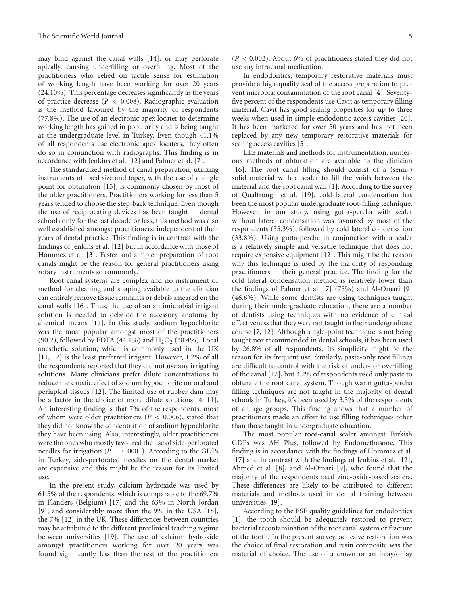may bind against the canal walls [14], or may perforate apically, causing underfilling or overfilling. Most of the practitioners who relied on tactile sense for estimation of working length have been working for over 20 years (24.10%). This percentage decreases significantly as the years of practice decrease (*P <* 0*.*008). Radiographic evaluation is the method favoured by the majority of respondents (77.8%). The use of an electronic apex locater to determine working length has gained in popularity and is being taught at the undergraduate level in Turkey. Even though 41.1% of all respondents use electronic apex locaters, they often do so in conjunction with radiographs. This finding is in accordance with Jenkins et al. [12] and Palmer et al. [7].

The standardized method of canal preparation, utilizing instruments of fixed size and taper, with the use of a single point for obturation [15], is commonly chosen by most of the older practitioners. Practitioners working for less than 5 years tended to choose the step-back technique. Even though the use of reciprocating devices has been taught in dental schools only for the last decade or less, this method was also well established amongst practitioners, independent of their years of dental practice. This finding is in contrast with the findings of Jenkins et al. [12] but in accordance with those of Hommez et al. [3]. Faster and simpler preparation of root canals might be the reason for general practitioners using rotary instruments so commonly.

Root canal systems are complex and no instrument or method for cleaning and shaping available to the clinician can entirely remove tissue remnants or debris smeared on the canal walls [16]. Thus, the use of an antimicrobial irrigant solution is needed to debride the accessory anatomy by chemical means [12]. In this study, sodium hypochlorite was the most popular amongst most of the practitioners (90.2), followed by EDTA (44.1%) and  $H_2O_2$  (38.4%). Local anesthetic solution, which is commonly used in the UK [11, 12] is the least preferred irrigant. However, 1.2% of all the respondents reported that they did not use any irrigating solutions. Many clinicians prefer dilute concentrations to reduce the caustic effect of sodium hypochlorite on oral and periapical tissues [12]. The limited use of rubber dam may be a factor in the choice of more dilute solutions [4, 11]. An interesting finding is that 7% of the respondents, most of whom were older practitioners (*P <* 0*.*006), stated that they did not know the concentration of sodium hypochlorite they have been using. Also, interestingly, older practitioners were the ones who mostly favoured the use of side-perforated needles for irrigation ( $P = 0.0001$ ). According to the GDPs in Turkey, side-perforated needles on the dental market are expensive and this might be the reason for its limited use.

In the present study, calcium hydroxide was used by 61.5% of the respondents, which is comparable to the 69.7% in Flanders (Belgium) [17] and the 63% in North Jordan [9], and considerably more than the 9% in the USA [18], the 7% [12] in the UK. These differences between countries may be attributed to the different preclinical teaching regime between universities [19]. The use of calcium hydroxide amongst practitioners working for over 20 years was found significantly less than the rest of the practitioners

(*P <* 0*.*002). About 6% of practitioners stated they did not use any intracanal medication.

In endodontics, temporary restorative materials must provide a high-quality seal of the access preparation to prevent microbial contamination of the root canal [4]. Seventyfive percent of the respondents use Cavit as temporary filling material. Cavit has good sealing properties for up to three weeks when used in simple endodontic access cavities [20]. It has been marketed for over 50 years and has not been replaced by any new temporary restorative materials for sealing access cavities [5].

Like materials and methods for instrumentation, numerous methods of obturation are available to the clinician [16]. The root canal filling should consist of a (semi-) solid material with a sealer to fill the voids between the material and the root canal wall [1]. According to the survey of Qualtrough et al. [19], cold lateral condensation has been the most popular undergraduate root-filling technique. However, in our study, using gutta-percha with sealer without lateral condensation was favoured by most of the respondents (55.3%), followed by cold lateral condensation (33.8%). Using gutta-percha in conjunction with a sealer is a relatively simple and versatile technique that does not require expensive equipment [12]. This might be the reason why this technique is used by the majority of responding practitioners in their general practice. The finding for the cold lateral condensation method is relatively lower than the findings of Palmer et al. [7] (75%) and Al-Omari [9] (46.6%). While some dentists are using techniques taught during their undergraduate education, there are a number of dentists using techniques with no evidence of clinical effectiveness that they were not taught in their undergraduate course [7, 12]. Although single-point technique is not being taught nor recommended in dental schools, it has been used by 26.8% of all respondents. Its simplicity might be the reason for its frequent use. Similarly, paste-only root fillings are difficult to control with the risk of under- or overfilling of the canal [12], but 3.2% of respondents used only paste to obturate the root canal system. Though warm gutta-percha filling techniques are not taught in the majority of dental schools in Turkey, it's been used by 3.5% of the respondents of all age groups. This finding shows that a number of practitioners made an effort to use filling techniques other than those taught in undergraduate education.

The most popular root-canal sealer amongst Turkish GDPs was AH Plus, followed by Endomethasone. This finding is in accordance with the findings of Hommez et al. [17] and in contrast with the findings of Jenkins et al. [12], Ahmed et al. [8], and Al-Omari [9], who found that the majority of the respondents used zinc-oxide-based sealers. These differences are likely to be attributed to different materials and methods used in dental training between universities [19].

According to the ESE quality guidelines for endodontics [1], the tooth should be adequately restored to prevent bacterial recontamination of the root canal system or fracture of the tooth. In the present survey, adhesive restoration was the choice of final restoration and resin composite was the material of choice. The use of a crown or an inlay/onlay